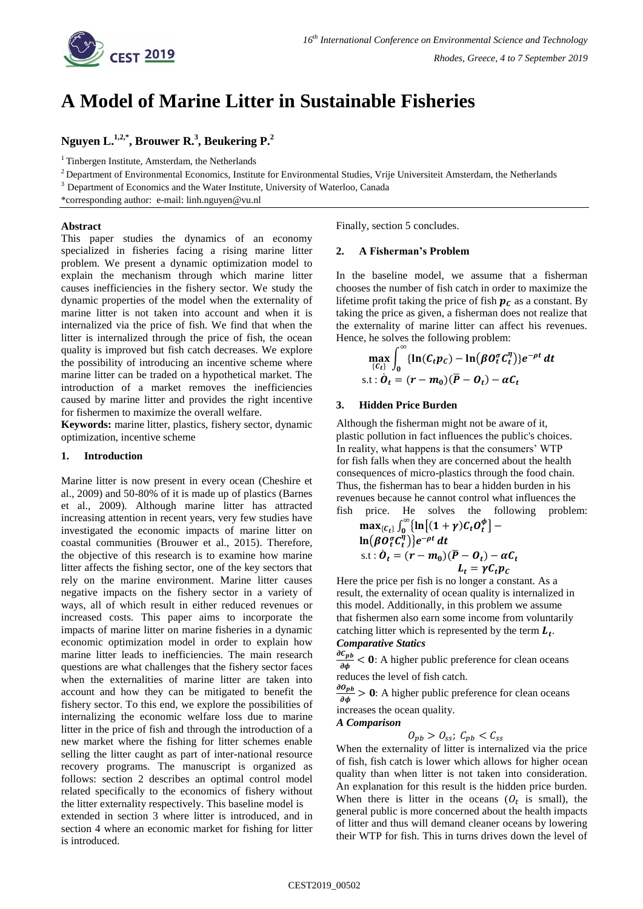# **A Model of Marine Litter in Sustainable Fisheries**

**Nguyen L. 1,2,\* , Brouwer R. 3 , Beukering P. 2**

 $1$  Tinbergen Institute, Amsterdam, the Netherlands

 $2$  Department of Environmental Economics, Institute for Environmental Studies, Vrije Universiteit Amsterdam, the Netherlands

<sup>3</sup> Department of Economics and the Water Institute, University of Waterloo, Canada

\*corresponding author: e-mail: linh.nguyen@vu.nl

#### **Abstract**

This paper studies the dynamics of an economy specialized in fisheries facing a rising marine litter problem. We present a dynamic optimization model to explain the mechanism through which marine litter causes inefficiencies in the fishery sector. We study the dynamic properties of the model when the externality of marine litter is not taken into account and when it is internalized via the price of fish. We find that when the litter is internalized through the price of fish, the ocean quality is improved but fish catch decreases. We explore the possibility of introducing an incentive scheme where marine litter can be traded on a hypothetical market. The introduction of a market removes the inefficiencies caused by marine litter and provides the right incentive for fishermen to maximize the overall welfare.

**Keywords:** marine litter, plastics, fishery sector, dynamic optimization, incentive scheme

# **1. Introduction**

Marine litter is now present in every ocean (Cheshire et al., 2009) and 50-80% of it is made up of plastics (Barnes et al., 2009). Although marine litter has attracted increasing attention in recent years, very few studies have investigated the economic impacts of marine litter on coastal communities (Brouwer et al., 2015). Therefore, the objective of this research is to examine how marine litter affects the fishing sector, one of the key sectors that rely on the marine environment. Marine litter causes negative impacts on the fishery sector in a variety of ways, all of which result in either reduced revenues or increased costs. This paper aims to incorporate the impacts of marine litter on marine fisheries in a dynamic economic optimization model in order to explain how marine litter leads to inefficiencies. The main research questions are what challenges that the fishery sector faces when the externalities of marine litter are taken into account and how they can be mitigated to benefit the fishery sector. To this end, we explore the possibilities of internalizing the economic welfare loss due to marine litter in the price of fish and through the introduction of a new market where the fishing for litter schemes enable selling the litter caught as part of inter-national resource recovery programs. The manuscript is organized as follows: section 2 describes an optimal control model related specifically to the economics of fishery without the litter externality respectively. This baseline model is extended in section 3 where litter is introduced, and in

section 4 where an economic market for fishing for litter is introduced.

Finally, section 5 concludes.

## **2. A Fisherman's Problem**

In the baseline model, we assume that a fisherman chooses the number of fish catch in order to maximize the lifetime profit taking the price of fish  $p_c$  as a constant. By taking the price as given, a fisherman does not realize that the externality of marine litter can affect his revenues. Hence, he solves the following problem:

$$
\max_{\{C_t\}} \int_0^\infty \{\ln(C_t p_C) - \ln(\beta O_t^{\sigma} C_t^{\eta})\} e^{-\rho t} dt
$$
  
s.t :  $\dot{O}_t = (r - m_0)(\overline{P} - O_t) - \alpha C_t$ 

## **3. Hidden Price Burden**

Although the fisherman might not be aware of it, plastic pollution in fact influences the public's choices. In reality, what happens is that the consumers' WTP for fish falls when they are concerned about the health consequences of micro-plastics through the food chain. Thus, the fisherman has to bear a hidden burden in his revenues because he cannot control what influences the fish price. He solves the following problem:

$$
\max_{\{C_t\}} \int_0^\infty \{\ln\big[(1+\gamma)C_t O_t^{\phi}\big] - \ln(\beta O_t^{\sigma} C_t^{\eta})\} e^{-\rho t} dt
$$
  
s.t :  $\dot{O}_t = (r - m_0)(\overline{P} - O_t) - \alpha C_t$   
 $L_t = \gamma C_t p_C$ 

Here the price per fish is no longer a constant. As a result, the externality of ocean quality is internalized in this model. Additionally, in this problem we assume that fishermen also earn some income from voluntarily catching litter which is represented by the term  $L_t$ . *Comparative Statics*

д  $\frac{\partial \phi_B}{\partial \phi}$  < 0: A higher public preference for clean oceans reduces the level of fish catch.

д  $\frac{\partial p_b}{\partial \phi} > 0$ : A higher public preference for clean oceans increases the ocean quality.

*A Comparison*

$$
O_{pb} > O_{ss}; C_{pb} < C_{ss}
$$

When the externality of litter is internalized via the price of fish, fish catch is lower which allows for higher ocean quality than when litter is not taken into consideration. An explanation for this result is the hidden price burden. When there is litter in the oceans  $(O_t$  is small), the general public is more concerned about the health impacts of litter and thus will demand cleaner oceans by lowering their WTP for fish. This in turns drives down the level of